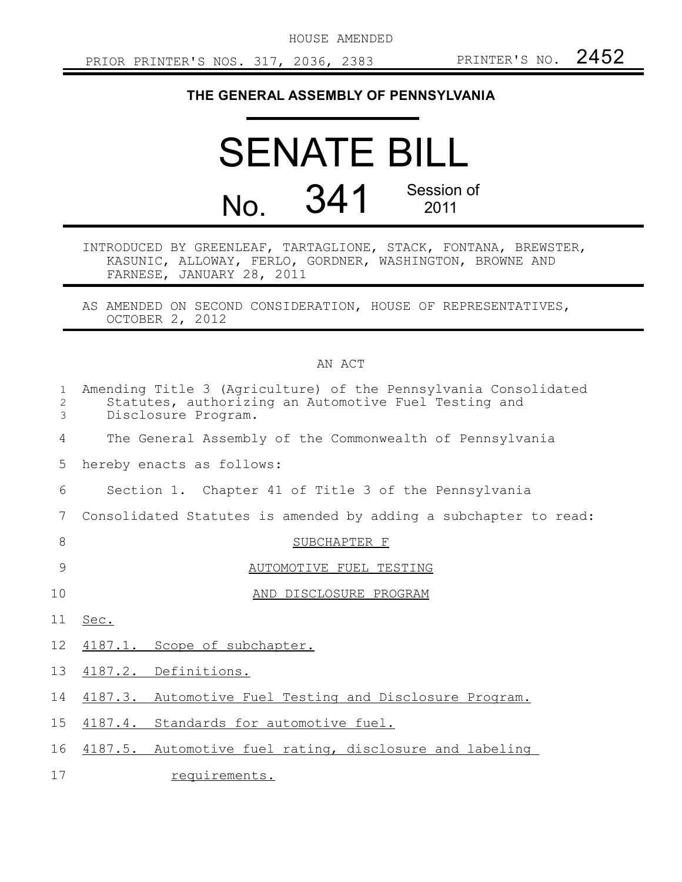HOUSE AMENDED

## **THE GENERAL ASSEMBLY OF PENNSYLVANIA**

## SENATE BILL No. 341 Session of 2011

INTRODUCED BY GREENLEAF, TARTAGLIONE, STACK, FONTANA, BREWSTER, KASUNIC, ALLOWAY, FERLO, GORDNER, WASHINGTON, BROWNE AND FARNESE, JANUARY 28, 2011

AS AMENDED ON SECOND CONSIDERATION, HOUSE OF REPRESENTATIVES, OCTOBER 2, 2012

## AN ACT

| $\mathbf{1}$<br>2<br>3 | Amending Title 3 (Agriculture) of the Pennsylvania Consolidated<br>Statutes, authorizing an Automotive Fuel Testing and<br>Disclosure Program. |
|------------------------|------------------------------------------------------------------------------------------------------------------------------------------------|
| 4                      | The General Assembly of the Commonwealth of Pennsylvania                                                                                       |
| 5                      | hereby enacts as follows:                                                                                                                      |
| 6                      | Section 1. Chapter 41 of Title 3 of the Pennsylvania                                                                                           |
| 7                      | Consolidated Statutes is amended by adding a subchapter to read:                                                                               |
| 8                      | SUBCHAPTER F                                                                                                                                   |
| 9                      | AUTOMOTIVE FUEL TESTING                                                                                                                        |
| 10                     | AND DISCLOSURE PROGRAM                                                                                                                         |
| 11                     | Sec.                                                                                                                                           |
| 12                     | 4187.1. Scope of subchapter.                                                                                                                   |
| 13                     | 4187.2. Definitions.                                                                                                                           |
| 14                     | 4187.3. Automotive Fuel Testing and Disclosure Program.                                                                                        |
| 15 <sub>1</sub>        | 4187.4. Standards for automotive fuel.                                                                                                         |
| 16                     | 4187.5. Automotive fuel rating, disclosure and labeling                                                                                        |
| 17                     | requirements.                                                                                                                                  |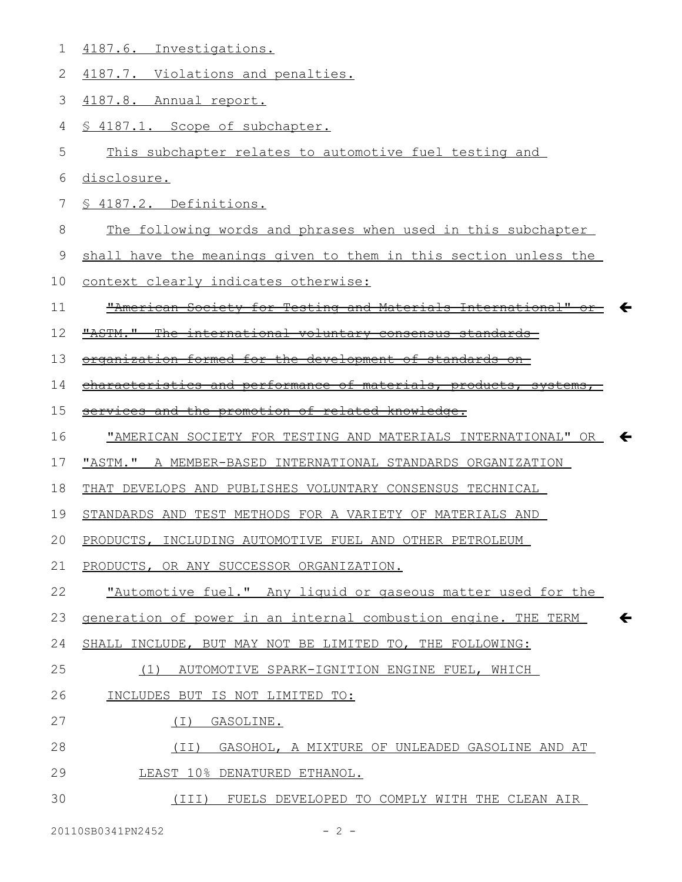| 1  | 4187.6. Investigations.                                                        |
|----|--------------------------------------------------------------------------------|
| 2  | 4187.7. Violations and penalties.                                              |
| 3  | 4187.8. Annual report.                                                         |
| 4  | § 4187.1. Scope of subchapter.                                                 |
| 5  | This subchapter relates to automotive fuel testing and                         |
| 6  | disclosure.                                                                    |
| 7  | § 4187.2. Definitions.                                                         |
| 8  | The following words and phrases when used in this subchapter                   |
| 9  | shall have the meanings given to them in this section unless the               |
| 10 | context clearly indicates otherwise:                                           |
| 11 | "American Society for Testing and Materials International"                     |
| 12 | "ASTM."<br><del>international voluntary consensus standards-</del>             |
| 13 | organization formed for the development of standards<br>$-$ on $-$             |
| 14 | characteristics and performance of materials, products, systems                |
| 15 | services and the promotion of related knowledge.                               |
| 16 | "AMERICAN SOCIETY FOR TESTING AND MATERIALS INTERNATIONAL" OR                  |
| 17 | "ASTM." A MEMBER-BASED INTERNATIONAL STANDARDS ORGANIZATION                    |
|    |                                                                                |
| 18 | THAT DEVELOPS AND PUBLISHES VOLUNTARY CONSENSUS TECHNICAL                      |
| 19 | STANDARDS AND TEST METHODS FOR A VARIETY OF MATERIALS AND                      |
| 20 | PRODUCTS, INCLUDING AUTOMOTIVE FUEL AND OTHER PETROLEUM                        |
| 21 | PRODUCTS, OR ANY SUCCESSOR ORGANIZATION.                                       |
| 22 | "Automotive fuel." Any liquid or gaseous matter used for the                   |
| 23 | $\leftarrow$<br>generation of power in an internal combustion engine. THE TERM |
| 24 | SHALL INCLUDE, BUT MAY NOT BE LIMITED TO, THE FOLLOWING:                       |
| 25 | (1) AUTOMOTIVE SPARK-IGNITION ENGINE FUEL, WHICH                               |
| 26 | INCLUDES BUT IS NOT LIMITED TO:                                                |
| 27 | GASOLINE.<br>(T)                                                               |
| 28 | (II) GASOHOL, A MIXTURE OF UNLEADED GASOLINE AND AT                            |
| 29 | LEAST 10% DENATURED ETHANOL.                                                   |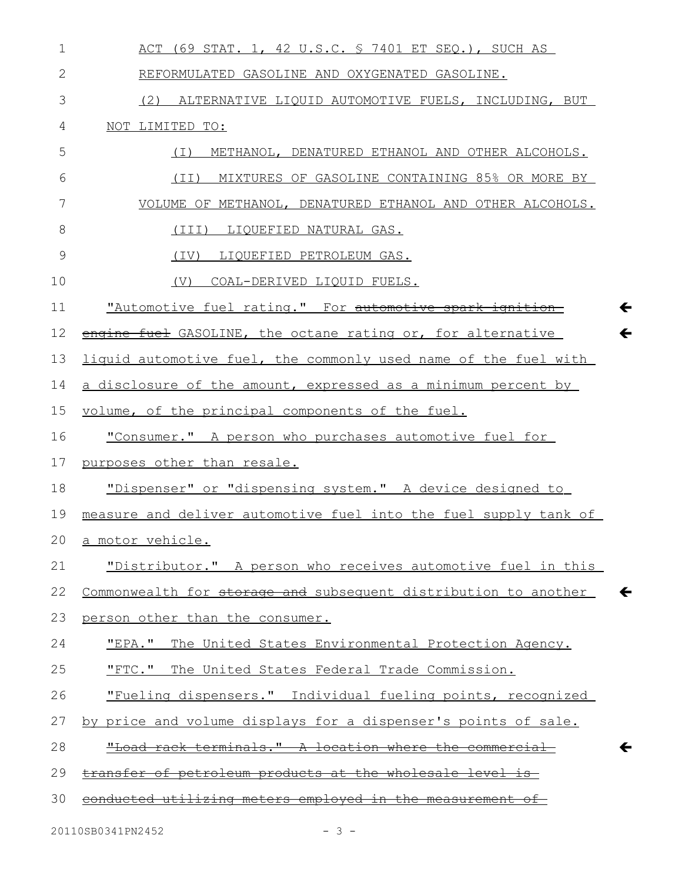| $\mathbf 1$  | ACT (69 STAT. 1, 42 U.S.C. § 7401 ET SEQ.), SUCH AS                             |
|--------------|---------------------------------------------------------------------------------|
| $\mathbf{2}$ | REFORMULATED GASOLINE AND OXYGENATED GASOLINE.                                  |
| 3            | (2) ALTERNATIVE LIQUID AUTOMOTIVE FUELS, INCLUDING, BUT                         |
| 4            | NOT LIMITED TO:                                                                 |
| 5            | METHANOL, DENATURED ETHANOL AND OTHER ALCOHOLS.<br>( I )                        |
| 6            | (II) MIXTURES OF GASOLINE CONTAINING 85% OR MORE BY                             |
| 7            | VOLUME OF METHANOL, DENATURED ETHANOL AND OTHER ALCOHOLS.                       |
| 8            | (III) LIQUEFIED NATURAL GAS.                                                    |
| 9            | (IV) LIQUEFIED PETROLEUM GAS.                                                   |
| 10           | COAL-DERIVED LIQUID FUELS.<br>(V)                                               |
| 11           | "Automotive fuel rating." For automotive spark ignition                         |
| 12           | $\leftarrow$<br>engine fuel GASOLINE, the octane rating or, for alternative     |
| 13           | liquid automotive fuel, the commonly used name of the fuel with                 |
| 14           | a disclosure of the amount, expressed as a minimum percent by                   |
| 15           | volume, of the principal components of the fuel.                                |
| 16           | "Consumer." A person who purchases automotive fuel for                          |
| 17           | purposes other than resale.                                                     |
| 18           | "Dispenser" or "dispensing system." A device designed to                        |
| 19           | measure and deliver automotive fuel into the fuel supply tank of                |
| 20           | a motor vehicle.                                                                |
| 21           | "Distributor." A person who receives automotive fuel in this                    |
| 22           | Commonwealth for storage and subsequent distribution to another<br>$\leftarrow$ |
| 23           | person other than the consumer.                                                 |
| 24           | "EPA." The United States Environmental Protection Agency.                       |
| 25           | "FTC." The United States Federal Trade Commission.                              |
| 26           | "Fueling dispensers." Individual fueling points, recognized                     |
| 27           | by price and volume displays for a dispenser's points of sale.                  |
| 28           | "Load rack terminals." A location where the commercial<br>←                     |
| 29           | transfer of petroleum products at the wholesale level is                        |
| 30           | conducted utilizing meters employed in the measurement of                       |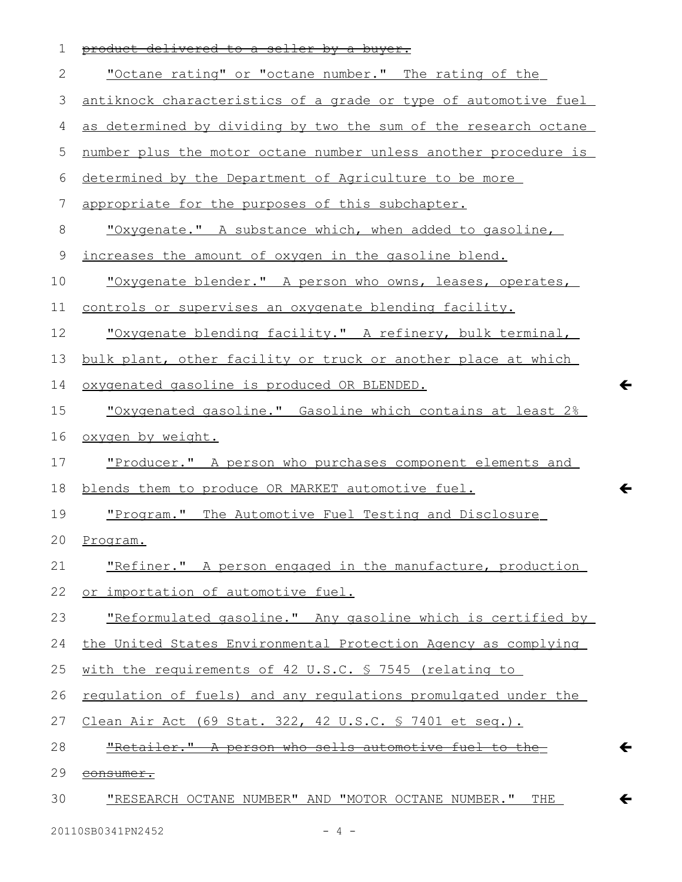| 1  | product delivered to a seller by a buyer.                       |
|----|-----------------------------------------------------------------|
| 2  | "Octane rating" or "octane number." The rating of the           |
| 3  | antiknock characteristics of a grade or type of automotive fuel |
| 4  | as determined by dividing by two the sum of the research octane |
| 5  | number plus the motor octane number unless another procedure is |
| 6  | determined by the Department of Agriculture to be more          |
| 7  | appropriate for the purposes of this subchapter.                |
| 8  | <u>"Oxygenate." A substance which, when added to gasoline,</u>  |
| 9  | increases the amount of oxygen in the gasoline blend.           |
| 10 | "Oxygenate blender." A person who owns, leases, operates,       |
| 11 | controls or supervises an oxygenate blending facility.          |
| 12 | "Oxygenate blending facility." A refinery, bulk terminal,       |
| 13 | bulk plant, other facility or truck or another place at which   |
| 14 | oxygenated gasoline is produced OR BLENDED.                     |
| 15 | "Oxygenated gasoline." Gasoline which contains at least 2%      |
| 16 | oxygen by weight.                                               |
| 17 | "Producer." A person who purchases component elements and       |
| 18 | blends them to produce OR MARKET automotive fuel.               |
| 19 | "Program." The Automotive Fuel Testing and Disclosure           |
| 20 | Program.                                                        |
| 21 | "Refiner." A person engaged in the manufacture, production      |
| 22 | or importation of automotive fuel.                              |
| 23 | "Reformulated gasoline." Any gasoline which is certified by     |
| 24 | the United States Environmental Protection Agency as complying  |
| 25 | with the requirements of 42 U.S.C. § 7545 (relating to          |
| 26 | regulation of fuels) and any regulations promulgated under the  |
| 27 | Clean Air Act (69 Stat. 322, 42 U.S.C. § 7401 et seq.).         |
| 28 | "Retailer." A person who sells automotive fuel to the           |
| 29 | consumer.                                                       |
| 30 | <u>"RESEARCH OCTANE NUMBER" AND "MOTOR OCTANE NUMBER." THE</u>  |

 $\leftarrow$ 

 $\leftarrow$ 

 $\leftarrow$ 

 $\leftarrow$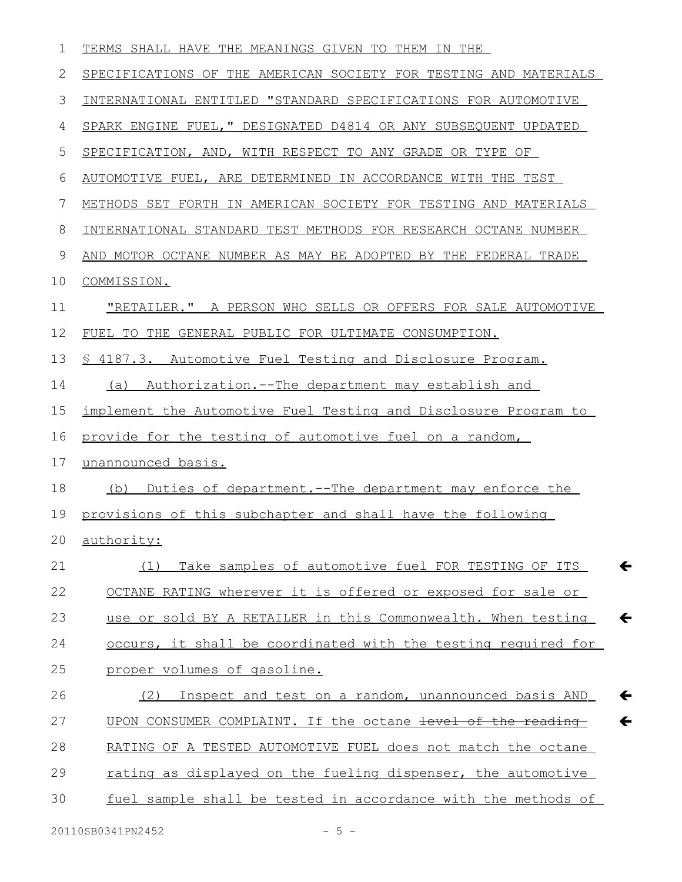| 1  | TERMS SHALL HAVE THE MEANINGS GIVEN TO THEM IN THE                           |
|----|------------------------------------------------------------------------------|
| 2  | SPECIFICATIONS OF THE AMERICAN SOCIETY FOR TESTING AND MATERIALS             |
| 3  | INTERNATIONAL ENTITLED "STANDARD SPECIFICATIONS FOR AUTOMOTIVE               |
| 4  | SPARK ENGINE FUEL, " DESIGNATED D4814 OR ANY SUBSEQUENT UPDATED              |
| 5  | SPECIFICATION, AND, WITH RESPECT TO ANY GRADE OR TYPE OF                     |
| 6  | AUTOMOTIVE FUEL, ARE DETERMINED IN ACCORDANCE WITH THE TEST                  |
| 7  | METHODS SET FORTH IN AMERICAN SOCIETY FOR TESTING AND MATERIALS              |
| 8  | INTERNATIONAL STANDARD TEST METHODS FOR RESEARCH OCTANE NUMBER               |
| 9  | AND MOTOR OCTANE NUMBER AS MAY BE ADOPTED BY THE FEDERAL TRADE               |
| 10 | COMMISSION.                                                                  |
| 11 | "RETAILER." A PERSON WHO SELLS OR OFFERS FOR SALE AUTOMOTIVE                 |
| 12 | FUEL TO THE GENERAL PUBLIC FOR ULTIMATE CONSUMPTION.                         |
| 13 | \$ 4187.3. Automotive Fuel Testing and Disclosure Program.                   |
| 14 | <u>Authorization.--The department may establish and</u><br>(a)               |
| 15 | implement the Automotive Fuel Testing and Disclosure Program to              |
| 16 | provide for the testing of automotive fuel on a random,                      |
| 17 | unannounced basis.                                                           |
| 18 | (b) Duties of department.--The department may enforce the                    |
| 19 | provisions of this subchapter and shall have the following                   |
|    | 20 authority:                                                                |
| 21 | Take samples of automotive fuel FOR TESTING OF ITS<br>(1)<br>←               |
| 22 | OCTANE RATING wherever it is offered or exposed for sale or                  |
| 23 | use or sold BY A RETAILER in this Commonwealth. When testing<br>$\leftarrow$ |
| 24 | occurs, it shall be coordinated with the testing required for                |
| 25 | proper volumes of gasoline.                                                  |
| 26 | Inspect and test on a random, unannounced basis AND<br>(2)<br>←              |
| 27 | UPON CONSUMER COMPLAINT. If the octane level of the reading<br>$\leftarrow$  |
| 28 | RATING OF A TESTED AUTOMOTIVE FUEL does not match the octane                 |
| 29 | rating as displayed on the fueling dispenser, the automotive                 |
| 30 | fuel sample shall be tested in accordance with the methods of                |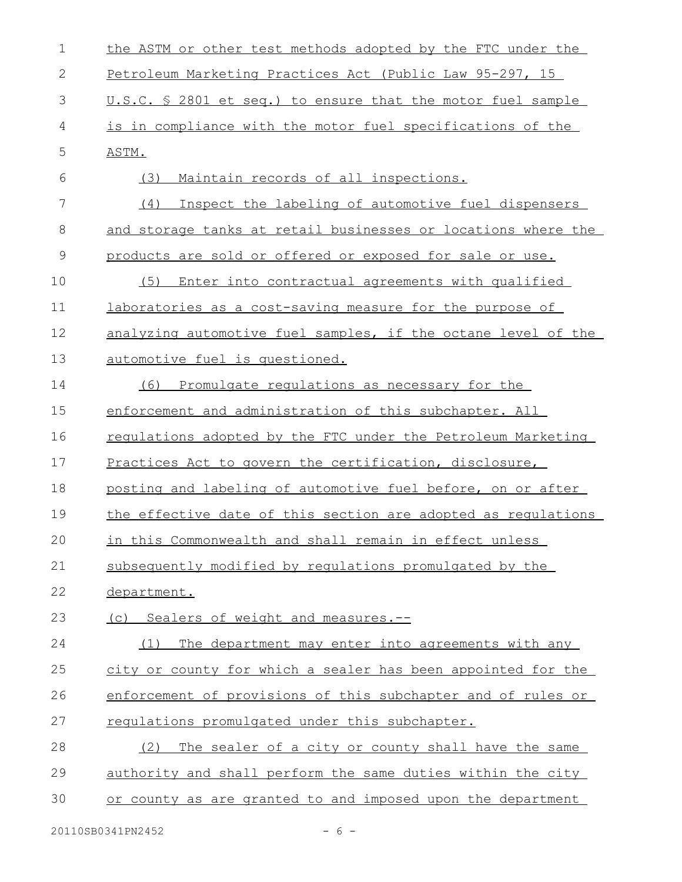| $\mathbf 1$  | the ASTM or other test methods adopted by the FTC under the   |
|--------------|---------------------------------------------------------------|
| $\mathbf{2}$ | Petroleum Marketing Practices Act (Public Law 95-297, 15      |
| 3            | U.S.C. § 2801 et seq.) to ensure that the motor fuel sample   |
| 4            | is in compliance with the motor fuel specifications of the    |
| 5            | ASTM.                                                         |
| 6            | Maintain records of all inspections.<br>(3)                   |
| 7            | (4) Inspect the labeling of automotive fuel dispensers        |
| 8            | and storage tanks at retail businesses or locations where the |
| 9            | products are sold or offered or exposed for sale or use.      |
| 10           | Enter into contractual agreements with qualified<br>(5)       |
| 11           | laboratories as a cost-saving measure for the purpose of      |
| 12           | analyzing automotive fuel samples, if the octane level of the |
| 13           | automotive fuel is questioned.                                |
| 14           | Promulgate regulations as necessary for the<br>(6)            |
| 15           | enforcement and administration of this subchapter. All        |
| 16           | regulations adopted by the FTC under the Petroleum Marketing  |
| 17           | Practices Act to govern the certification, disclosure,        |
| 18           | posting and labeling of automotive fuel before, on or after   |
| 19           | the effective date of this section are adopted as regulations |
| 20           | in this Commonwealth and shall remain in effect unless        |
| 21           | subsequently modified by requlations promulgated by the       |
| 22           | department.                                                   |
| 23           | (c) Sealers of weight and measures.--                         |
| 24           | The department may enter into agreements with any<br>(1)      |
| 25           | city or county for which a sealer has been appointed for the  |
| 26           | enforcement of provisions of this subchapter and of rules or  |
| 27           | requiations promulgated under this subchapter.                |
| 28           | The sealer of a city or county shall have the same<br>(2)     |
| 29           | authority and shall perform the same duties within the city   |
| 30           | or county as are granted to and imposed upon the department   |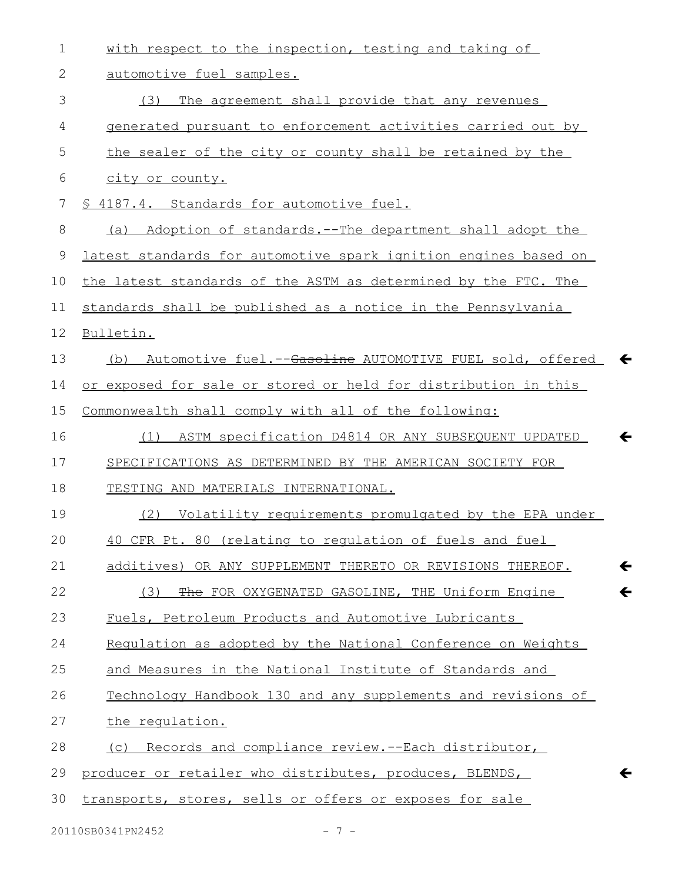| $\mathbf 1$ | with respect to the inspection, testing and taking of                      |
|-------------|----------------------------------------------------------------------------|
| 2           | automotive fuel samples.                                                   |
| 3           | The agreement shall provide that any revenues<br>(3)                       |
| 4           | generated pursuant to enforcement activities carried out by                |
| 5           | the sealer of the city or county shall be retained by the                  |
| 6           | city or county.                                                            |
| 7           | § 4187.4. Standards for automotive fuel.                                   |
| 8           | (a) Adoption of standards.--The department shall adopt the                 |
| 9           | latest standards for automotive spark ignition engines based on            |
| 10          | the latest standards of the ASTM as determined by the FTC. The             |
| 11          | standards shall be published as a notice in the Pennsylvania               |
| 12          | Bulletin.                                                                  |
| 13          | Automotive fuel.--Gasoline AUTOMOTIVE FUEL sold, offered<br>(b)            |
| 14          | or exposed for sale or stored or held for distribution in this             |
| 15          | Commonwealth shall comply with all of the following:                       |
| 16          | (1) ASTM specification D4814 OR ANY SUBSEQUENT UPDATED                     |
| 17          | SPECIFICATIONS AS DETERMINED BY THE AMERICAN SOCIETY FOR                   |
| 18          | TESTING AND MATERIALS INTERNATIONAL.                                       |
| 19          | Volatility requirements promulgated by the EPA under<br>(2)                |
| 20          | 40 CFR Pt. 80 (relating to regulation of fuels and fuel                    |
| 21          | $\leftarrow$<br>additives) OR ANY SUPPLEMENT THERETO OR REVISIONS THEREOF. |
| 22          | $\leftarrow$<br>The FOR OXYGENATED GASOLINE, THE Uniform Engine<br>(3)     |
| 23          | Fuels, Petroleum Products and Automotive Lubricants                        |
| 24          | Regulation as adopted by the National Conference on Weights                |
| 25          | and Measures in the National Institute of Standards and                    |
| 26          | Technology Handbook 130 and any supplements and revisions of               |
| 27          | the regulation.                                                            |
| 28          | (c) Records and compliance review.--Each distributor,                      |
| 29          | producer or retailer who distributes, produces, BLENDS,<br>←               |
| 30          | transports, stores, sells or offers or exposes for sale                    |
|             |                                                                            |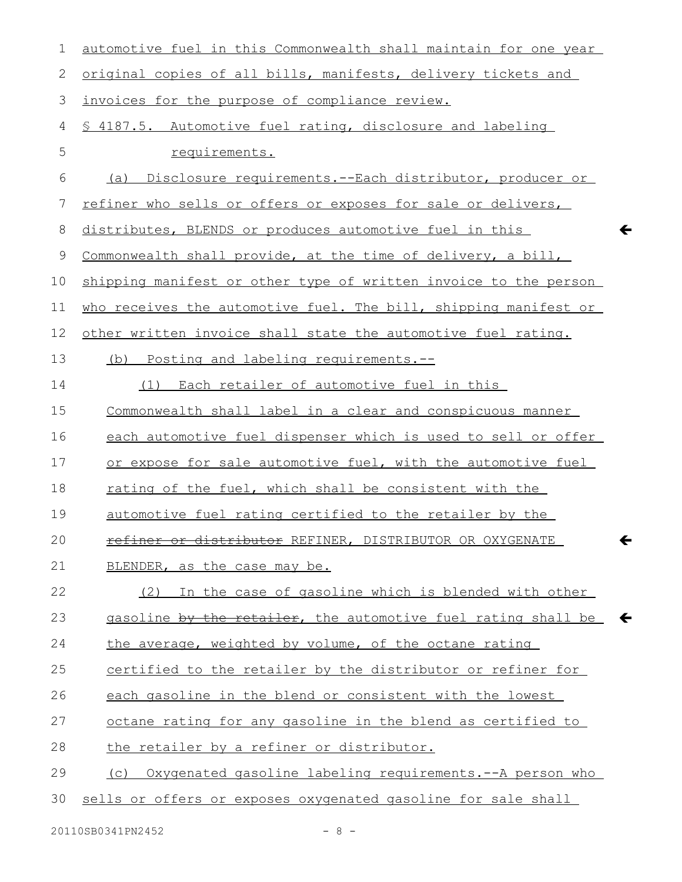| 1  | automotive fuel in this Commonwealth shall maintain for one year |   |
|----|------------------------------------------------------------------|---|
| 2  | original copies of all bills, manifests, delivery tickets and    |   |
| 3  | invoices for the purpose of compliance review.                   |   |
| 4  | § 4187.5. Automotive fuel rating, disclosure and labeling        |   |
| 5  | requirements.                                                    |   |
| 6  | Disclosure requirements.--Each distributor, producer or<br>(a)   |   |
| 7  | refiner who sells or offers or exposes for sale or delivers,     |   |
| 8  | distributes, BLENDS or produces automotive fuel in this          | ← |
| 9  | Commonwealth shall provide, at the time of delivery, a bill,     |   |
| 10 | shipping manifest or other type of written invoice to the person |   |
| 11 | who receives the automotive fuel. The bill, shipping manifest or |   |
| 12 | other written invoice shall state the automotive fuel rating.    |   |
| 13 | (b) Posting and labeling requirements.--                         |   |
| 14 | (1) Each retailer of automotive fuel in this                     |   |
| 15 | Commonwealth shall label in a clear and conspicuous manner       |   |
| 16 | each automotive fuel dispenser which is used to sell or offer    |   |
| 17 | or expose for sale automotive fuel, with the automotive fuel     |   |
| 18 | rating of the fuel, which shall be consistent with the           |   |
| 19 | automotive fuel rating certified to the retailer by the          |   |
| 20 | refiner or distributor REFINER, DISTRIBUTOR OR OXYGENATE         |   |
| 21 | BLENDER, as the case may be.                                     |   |
| 22 | (2) In the case of gasoline which is blended with other          |   |
| 23 | gasoline by the retailer, the automotive fuel rating shall be    |   |
| 24 | the average, weighted by volume, of the octane rating            |   |
| 25 | certified to the retailer by the distributor or refiner for      |   |
| 26 | each gasoline in the blend or consistent with the lowest         |   |
| 27 | octane rating for any gasoline in the blend as certified to      |   |
| 28 | the retailer by a refiner or distributor.                        |   |
| 29 | (c) Oxygenated gasoline labeling requirements.--A person who     |   |
| 30 | sells or offers or exposes oxygenated gasoline for sale shall    |   |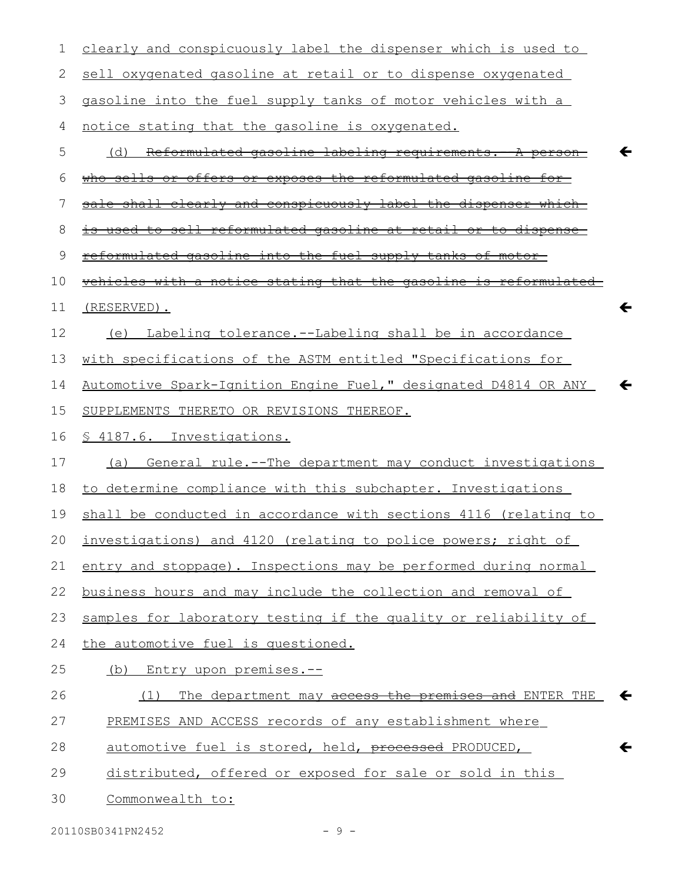| 1  | clearly and conspicuously label the dispenser which is used to       |
|----|----------------------------------------------------------------------|
| 2  | sell oxygenated gasoline at retail or to dispense oxygenated         |
| 3  | gasoline into the fuel supply tanks of motor vehicles with a         |
| 4  | notice stating that the gasoline is oxygenated.                      |
| 5  | Reformulated gasoline labeling requirements. - A person<br>(d)       |
| 6  | <u>who sells or offers or exposes the reformulated gasoline for-</u> |
| 7  | sale shall clearly and conspicuously label the dispenser which       |
| 8  | used to sell reformulated gasoline at retail or to dispense          |
| 9  | reformulated gasoline into the fuel supply tanks of motor-           |
| 10 | vehicles with a notice stating that the gasoline is reformulated     |
| 11 | $\leftarrow$<br>(RESERVED).                                          |
| 12 | Labeling tolerance.--Labeling shall be in accordance<br>(e)          |
| 13 | with specifications of the ASTM entitled "Specifications for         |
| 14 | Automotive Spark-Ignition Engine Fuel," designated D4814 OR ANY      |
| 15 | SUPPLEMENTS THERETO OR REVISIONS THEREOF.                            |
| 16 | § 4187.6. Investigations.                                            |
| 17 | General rule.--The department may conduct investigations<br>(a)      |
| 18 | to determine compliance with this subchapter. Investigations         |
| 19 | shall be conducted in accordance with sections 4116 (relating to     |
|    | 20 investigations) and 4120 (relating to police powers; right of     |
| 21 | entry and stoppage). Inspections may be performed during normal      |
| 22 | business hours and may include the collection and removal of         |
| 23 | samples for laboratory testing if the quality or reliability of      |
| 24 | the automotive fuel is questioned.                                   |
| 25 | (b) Entry upon premises.--                                           |
| 26 | The department may access the premises and ENTER THE<br>←<br>(1)     |
| 27 | PREMISES AND ACCESS records of any establishment where               |
| 28 | automotive fuel is stored, held, processed PRODUCED,<br>←            |
| 29 | distributed, offered or exposed for sale or sold in this             |
| 30 | Commonwealth to:                                                     |
|    |                                                                      |

20110SB0341PN2452 - 9 -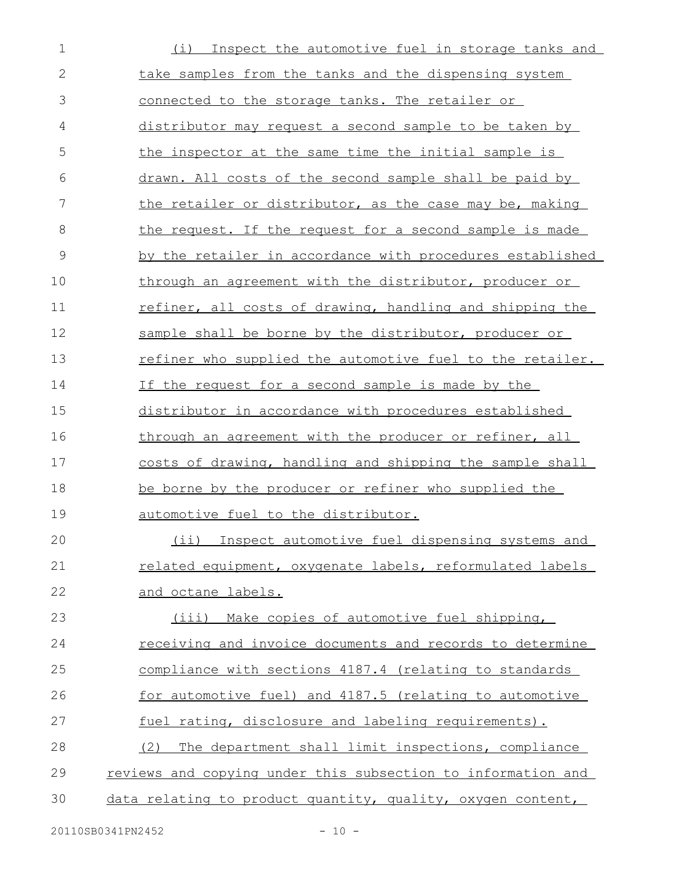| $\mathbf 1$  | Inspect the automotive fuel in storage tanks and<br>(i)         |
|--------------|-----------------------------------------------------------------|
| $\mathbf{2}$ | take samples from the tanks and the dispensing system           |
| 3            | connected to the storage tanks. The retailer or                 |
| 4            | distributor may request a second sample to be taken by          |
| 5            | the inspector at the same time the initial sample is            |
| 6            | drawn. All costs of the second sample shall be paid by          |
| 7            | the retailer or distributor, as the case may be, making         |
| 8            | the request. If the request for a second sample is made         |
| 9            | by the retailer in accordance with procedures established       |
| 10           | through an agreement with the distributor, producer or          |
| 11           | refiner, all costs of drawing, handling and shipping the        |
| 12           | sample shall be borne by the distributor, producer or           |
| 13           | refiner who supplied the automotive fuel to the retailer.       |
| 14           | If the request for a second sample is made by the               |
| 15           | distributor in accordance with procedures established           |
| 16           | through an agreement with the producer or refiner, all          |
| 17           | costs of drawing, handling and shipping the sample shall        |
| 18           | be borne by the producer or refiner who supplied the            |
| 19           | automotive fuel to the distributor.                             |
| 20           | (ii) Inspect automotive fuel dispensing systems and             |
| 21           | related equipment, oxygenate labels, reformulated labels        |
| 22           | and octane labels.                                              |
| 23           | (iii) Make copies of automotive fuel shipping,                  |
| 24           | <u>receiving and invoice documents and records to determine</u> |
| 25           | compliance with sections 4187.4 (relating to standards          |
| 26           | for automotive fuel) and 4187.5 (relating to automotive         |
| 27           | fuel rating, disclosure and labeling requirements).             |
| 28           | The department shall limit inspections, compliance<br>(2)       |
| 29           | reviews and copying under this subsection to information and    |
| 30           | data relating to product quantity, quality, oxygen content,     |
|              |                                                                 |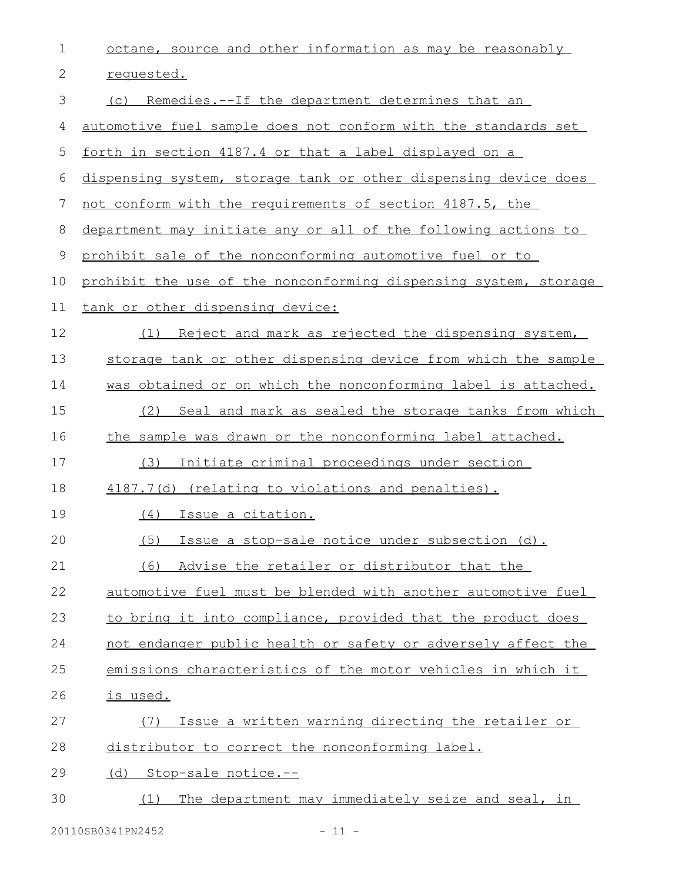| 1  | octane, source and other information as may be reasonably        |
|----|------------------------------------------------------------------|
| 2  | requested.                                                       |
| 3  | Remedies.--If the department determines that an<br>(C)           |
| 4  | automotive fuel sample does not conform with the standards set   |
| 5  | <u>forth in section 4187.4 or that a label displayed on a</u>    |
| 6  | dispensing system, storage tank or other dispensing device does  |
| 7  | not conform with the requirements of section 4187.5, the         |
| 8  | department may initiate any or all of the following actions to   |
| 9  | prohibit sale of the nonconforming automotive fuel or to         |
| 10 | prohibit the use of the nonconforming dispensing system, storage |
| 11 | tank or other dispensing device:                                 |
| 12 | Reject and mark as rejected the dispensing system,<br>(1)        |
| 13 | storage tank or other dispensing device from which the sample    |
| 14 | was obtained or on which the nonconforming label is attached.    |
| 15 | Seal and mark as sealed the storage tanks from which<br>(2)      |
| 16 | the sample was drawn or the nonconforming label attached.        |
| 17 | Initiate criminal proceedings under section<br>(3)               |
| 18 | 4187.7(d) (relating to violations and penalties).                |
| 19 | (4)<br><u>Issue a citation.</u>                                  |
| 20 | (5) Issue a stop-sale notice under subsection (d).               |
| 21 | Advise the retailer or distributor that the<br>(6)               |
| 22 | automotive fuel must be blended with another automotive fuel     |
| 23 | to bring it into compliance, provided that the product does      |
| 24 | not endanger public health or safety or adversely affect the     |
| 25 | emissions characteristics of the motor vehicles in which it      |
| 26 | is used.                                                         |
| 27 | Issue a written warning directing the retailer or<br>(7)         |
| 28 | distributor to correct the nonconforming label.                  |
| 29 | (d) Stop-sale notice.--                                          |
| 30 | The department may immediately seize and seal, in<br>(1)         |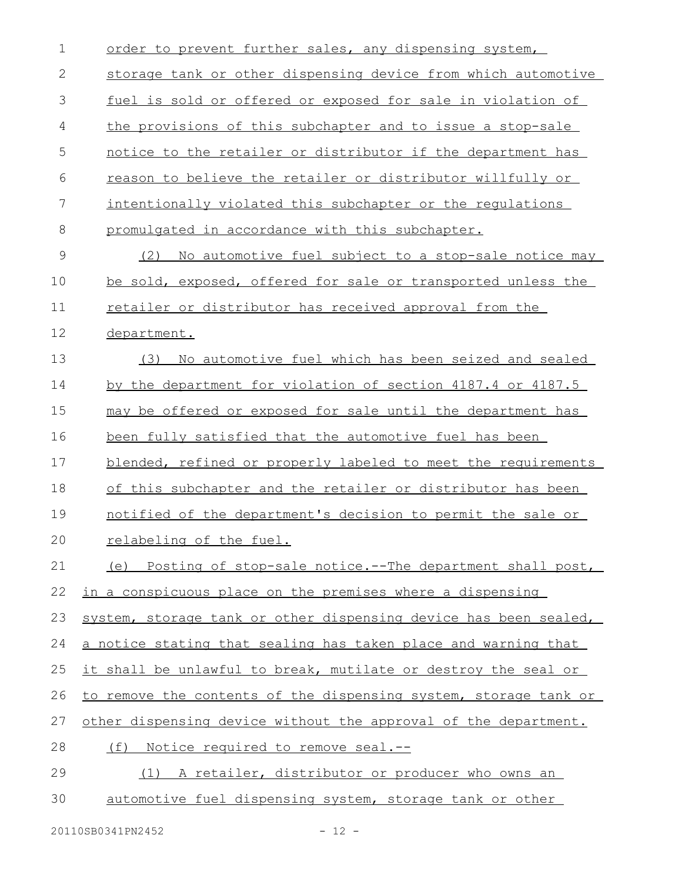| $\mathbf 1$   | order to prevent further sales, any dispensing system,           |
|---------------|------------------------------------------------------------------|
| $\mathbf{2}$  | storage tank or other dispensing device from which automotive    |
| 3             | fuel is sold or offered or exposed for sale in violation of      |
| 4             | the provisions of this subchapter and to issue a stop-sale       |
| 5             | notice to the retailer or distributor if the department has      |
| 6             | reason to believe the retailer or distributor willfully or       |
| 7             | intentionally violated this subchapter or the regulations        |
| 8             | promulgated in accordance with this subchapter.                  |
| $\mathcal{G}$ | No automotive fuel subject to a stop-sale notice may<br>(2)      |
| 10            | be sold, exposed, offered for sale or transported unless the     |
| 11            | retailer or distributor has received approval from the           |
| 12            | department.                                                      |
| 13            | No automotive fuel which has been seized and sealed<br>(3)       |
| 14            | by the department for violation of section 4187.4 or 4187.5      |
| 15            | may be offered or exposed for sale until the department has      |
| 16            | been fully satisfied that the automotive fuel has been           |
| 17            | blended, refined or properly labeled to meet the requirements    |
| 18            | of this subchapter and the retailer or distributor has been      |
| 19            | notified of the department's decision to permit the sale or      |
| 20            | relabeling of the fuel.                                          |
| 21            | (e) Posting of stop-sale notice.--The department shall post,     |
| 22            | in a conspicuous place on the premises where a dispensing        |
| 23            | system, storage tank or other dispensing device has been sealed, |
| 24            | a notice stating that sealing has taken place and warning that   |
| 25            | it shall be unlawful to break, mutilate or destroy the seal or   |
| 26            | to remove the contents of the dispensing system, storage tank or |
| 27            | other dispensing device without the approval of the department.  |
| 28            | <u>Notice required to remove seal.--</u><br>(f)                  |
| 29            | (1) A retailer, distributor or producer who owns an              |
| 30            | automotive fuel dispensing system, storage tank or other         |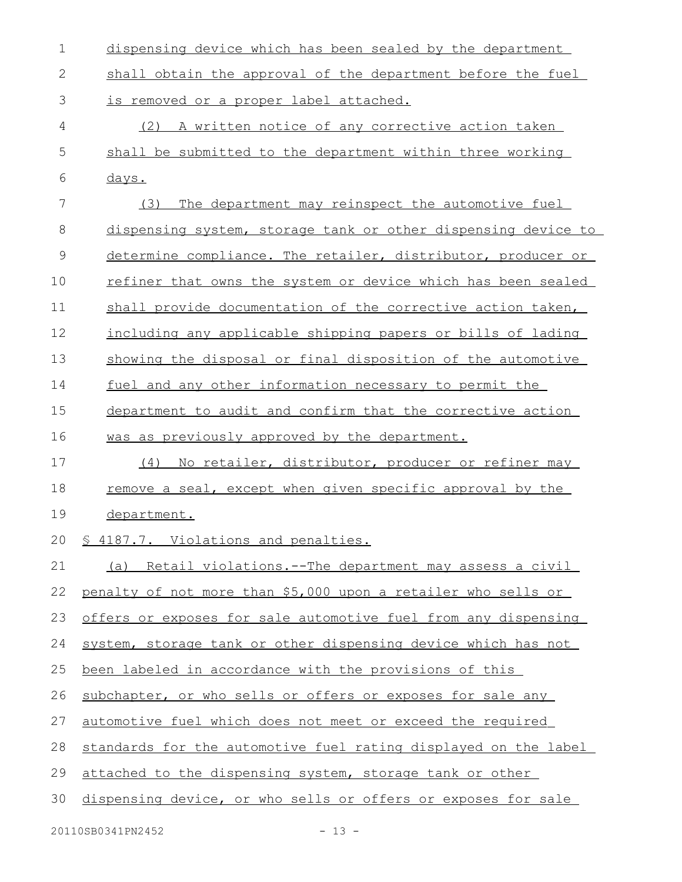| $\mathbf 1$   | dispensing device which has been sealed by the department       |
|---------------|-----------------------------------------------------------------|
| $\mathbf{2}$  | shall obtain the approval of the department before the fuel     |
| 3             | is removed or a proper label attached.                          |
| 4             | (2) A written notice of any corrective action taken             |
| 5             | shall be submitted to the department within three working       |
| 6             | days.                                                           |
| 7             | The department may reinspect the automotive fuel<br>(3)         |
| 8             | dispensing system, storage tank or other dispensing device to   |
| $\mathcal{G}$ | determine compliance. The retailer, distributor, producer or    |
| 10            | refiner that owns the system or device which has been sealed    |
| 11            | shall provide documentation of the corrective action taken,     |
| 12            | including any applicable shipping papers or bills of lading     |
| 13            | showing the disposal or final disposition of the automotive     |
| 14            | fuel and any other information necessary to permit the          |
| 15            | department to audit and confirm that the corrective action      |
| 16            | was as previously approved by the department.                   |
| 17            | (4) No retailer, distributor, producer or refiner may           |
| 18            | remove a seal, except when given specific approval by the       |
| 19            | department.                                                     |
| 20            | § 4187.7. Violations and penalties.                             |
| 21            | (a) Retail violations.--The department may assess a civil       |
| 22            | penalty of not more than \$5,000 upon a retailer who sells or   |
| 23            | offers or exposes for sale automotive fuel from any dispensing  |
| 24            | system, storage tank or other dispensing device which has not   |
| 25            | been labeled in accordance with the provisions of this          |
| 26            | subchapter, or who sells or offers or exposes for sale any      |
| 27            | automotive fuel which does not meet or exceed the required      |
| 28            | standards for the automotive fuel rating displayed on the label |
| 29            | attached to the dispensing system, storage tank or other        |
| 30            | dispensing device, or who sells or offers or exposes for sale   |
|               |                                                                 |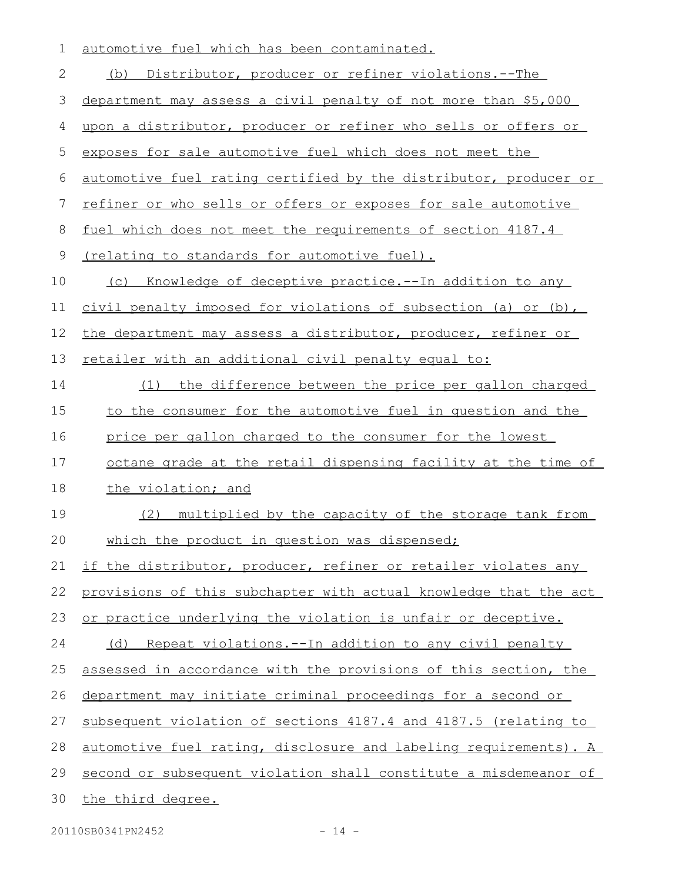| 1            | automotive fuel which has been contaminated.                     |
|--------------|------------------------------------------------------------------|
| $\mathbf{2}$ | (b) Distributor, producer or refiner violations.--The            |
| 3            | department may assess a civil penalty of not more than \$5,000   |
| 4            | upon a distributor, producer or refiner who sells or offers or   |
| 5            | exposes for sale automotive fuel which does not meet the         |
| 6            | automotive fuel rating certified by the distributor, producer or |
| 7            | refiner or who sells or offers or exposes for sale automotive    |
| 8            | fuel which does not meet the requirements of section 4187.4      |
| 9            | <u>(relating to standards for automotive fuel).</u>              |
| 10           | Knowledge of deceptive practice. -- In addition to any<br>(C)    |
| 11           | civil penalty imposed for violations of subsection (a) or (b),   |
| 12           | the department may assess a distributor, producer, refiner or    |
| 13           | retailer with an additional civil penalty equal to:              |
| 14           | the difference between the price per gallon charged<br>(1)       |
| 15           | to the consumer for the automotive fuel in question and the      |
| 16           | price per gallon charged to the consumer for the lowest          |
| 17           | octane grade at the retail dispensing facility at the time of    |
| 18           | the violation; and                                               |
| 19           | (2)<br>multiplied by the capacity of the storage tank from       |
| 20           | which the product in question was dispensed;                     |
| 21           | if the distributor, producer, refiner or retailer violates any   |
| 22           | provisions of this subchapter with actual knowledge that the act |
| 23           | or practice underlying the violation is unfair or deceptive.     |
| 24           | (d) Repeat violations.--In addition to any civil penalty         |
| 25           | assessed in accordance with the provisions of this section, the  |
| 26           | department may initiate criminal proceedings for a second or     |
| 27           | subsequent violation of sections 4187.4 and 4187.5 (relating to  |
| 28           | automotive fuel rating, disclosure and labeling requirements). A |
| 29           | second or subsequent violation shall constitute a misdemeanor of |
| 30           | the third degree.                                                |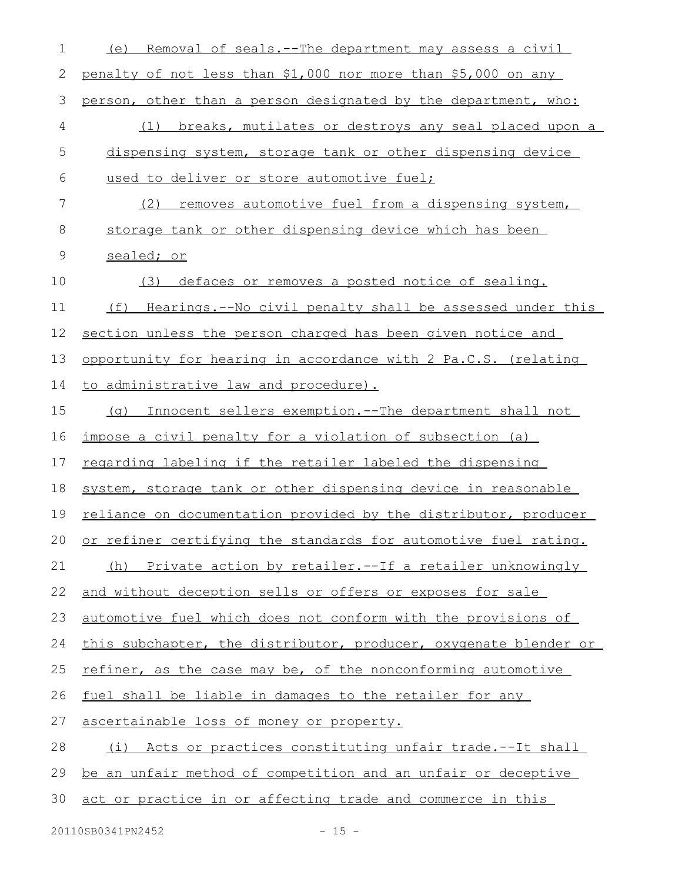| 1             | Removal of seals.--The department may assess a civil<br>(e)      |
|---------------|------------------------------------------------------------------|
| 2             | penalty of not less than \$1,000 nor more than \$5,000 on any    |
| $\mathcal{S}$ | person, other than a person designated by the department, who:   |
| 4             | (1) breaks, mutilates or destroys any seal placed upon a         |
| 5             | dispensing system, storage tank or other dispensing device       |
| 6             | used to deliver or store automotive fuel;                        |
| 7             | (2)<br>removes automotive fuel from a dispensing system,         |
| 8             | storage tank or other dispensing device which has been           |
| 9             | sealed; or                                                       |
| 10            | defaces or removes a posted notice of sealing.<br>(3)            |
| 11            | Hearings.--No civil penalty shall be assessed under this<br>(f)  |
| 12            | section unless the person charged has been given notice and      |
| 13            | opportunity for hearing in accordance with 2 Pa.C.S. (relating   |
| 14            | to administrative law and procedure).                            |
| 15            | Innocent sellers exemption. -- The department shall not<br>(a)   |
| 16            | impose a civil penalty for a violation of subsection (a)         |
| 17            | regarding labeling if the retailer labeled the dispensing        |
| 18            | system, storage tank or other dispensing device in reasonable    |
| 19            | reliance on documentation provided by the distributor, producer  |
| 20            | or refiner certifying the standards for automotive fuel rating.  |
| 21            | Private action by retailer.--If a retailer unknowingly<br>(h)    |
| 22            | and without deception sells or offers or exposes for sale        |
| 23            | automotive fuel which does not conform with the provisions of    |
| 24            | this subchapter, the distributor, producer, oxygenate blender or |
| 25            | refiner, as the case may be, of the nonconforming automotive     |
| 26            | fuel shall be liable in damages to the retailer for any          |
| 27            | ascertainable loss of money or property.                         |
| 28            | (i) Acts or practices constituting unfair trade.--It shall       |
| 29            | be an unfair method of competition and an unfair or deceptive    |
| 30            | act or practice in or affecting trade and commerce in this       |